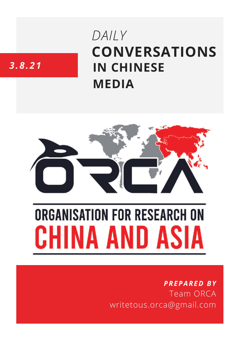# **CONVERSATIONS IN CHINESE MEDIA** *DAILY*

# *3.8.21*



# **ORGANISATION FOR RESEARCH ON** HINA AND ASIA

## *PREPARED BY* Team ORCA writetous.orca@gmail.com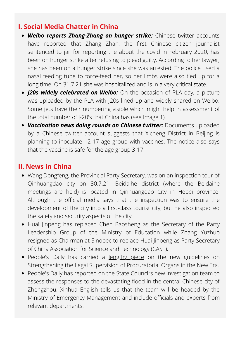#### **I. Social Media Chatter in China**

- *Weibo reports Zhang-Zhang on hunger strike:* Chinese twitter accounts have reported that Zhang Zhan, the first Chinese citizen journalist sentenced to jail for reporting the about the covid in February 2020, has been on hunger strike after refusing to plead guilty. According to her lawyer, she has been on a hunger strike since she was arrested. The police used a nasal feeding tube to force-feed her, so her limbs were also tied up for a long time. On 31.7.21 she was hospitalized and is in a very critical state.
- *J20s widely celebrated on Weibo:* On the occasion of PLA day, a picture was uploaded by the PLA with J20s lined up and widely shared on Weibo. Some jets have their numbering visible which might help in assessment of the total number of J-20's that China has (see Image 1).
- *Vaccination news doing rounds on Chinese twitter:* Documents uploaded by a Chinese twitter account suggests that Xicheng District in Beijing is planning to inoculate 12-17 age group with vaccines. The notice also says that the vaccine is safe for the age group 3-17.

#### **II. News in China**

- Wang Dongfeng, the Provincial Party Secretary, was on an inspection tour of Qinhuangdao city on 30.7.21. Beidaihe district (where the Beidaihe meetings are held) is located in Qinhuangdao City in Hebei province. Although the official media says that the inspection was to ensure the development of the city into a first-class tourist city, but he also inspected the safety and security aspects of the city.
- Huai Jinpeng has replaced Chen Baosheng as the Secretary of the Party Leadership Group of the Ministry of Education while Zhang Yuzhuo resigned as Chairman at Sinopec to replace Huai Jinpeng as Party Secretary of China Association for Science and Technology (CAST).
- People's Daily has carried a [lengthy](http://paper.people.com.cn/rmrb/html/2021-08/03/nw.D110000renmrb_20210803_2-01.htm) piece on the new guidelines on Strengthening the Legal Supervision of Procuratorial Organs in the New Era.
- People's Daily has [reported](http://paper.people.com.cn/rmrb/html/2021-08/03/nw.D110000renmrb_20210803_5-04.htm) on the State Council's new investigation team to assess the responses to the devastating flood in the central Chinese city of Zhengzhou. Xinhua English tells us that the team will be headed by the Ministry of Emergency Management and include officials and experts from relevant departments.